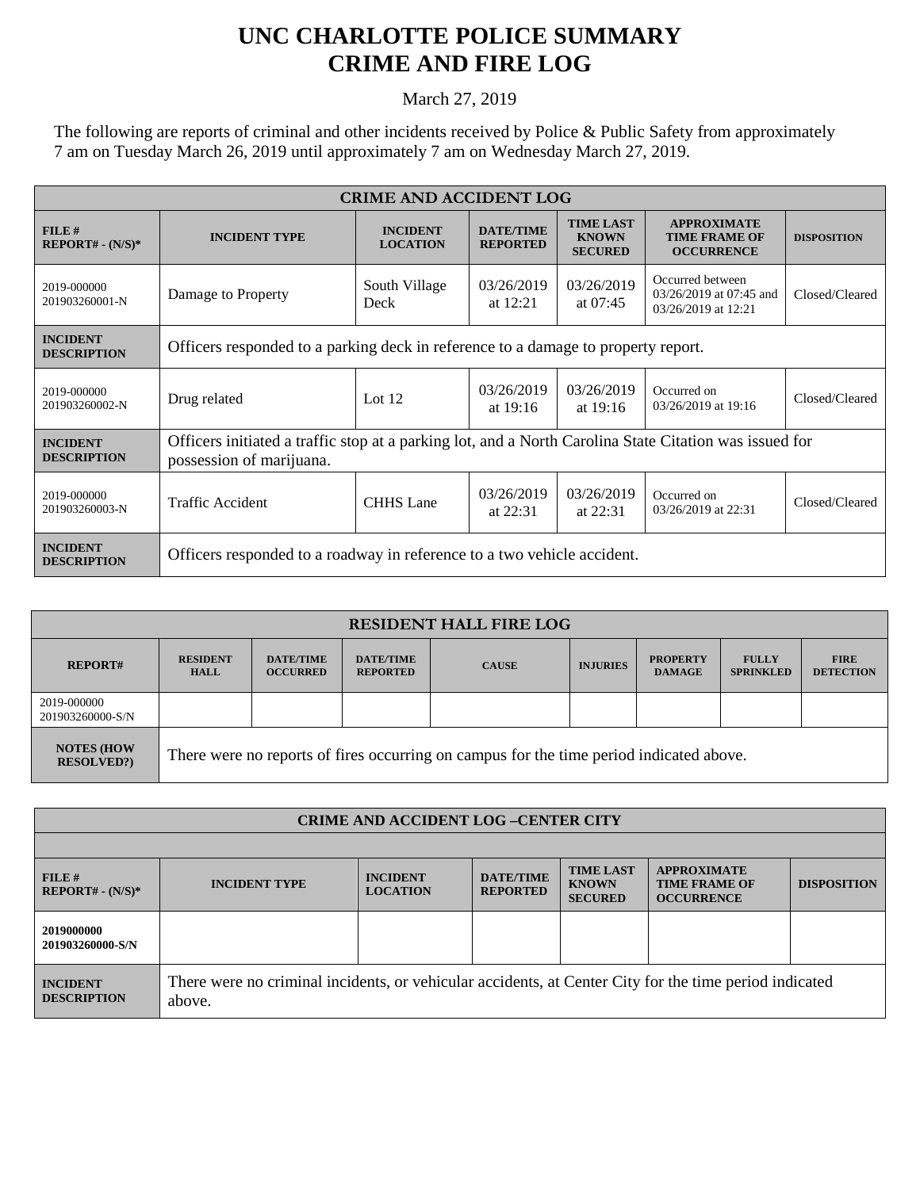## **UNC CHARLOTTE POLICE SUMMARY CRIME AND FIRE LOG**

March 27, 2019

The following are reports of criminal and other incidents received by Police & Public Safety from approximately 7 am on Tuesday March 26, 2019 until approximately 7 am on Wednesday March 27, 2019.

| <b>CRIME AND ACCIDENT LOG</b>         |                                                                                                                                    |                                    |                                     |                                                    |                                                                    |                    |  |
|---------------------------------------|------------------------------------------------------------------------------------------------------------------------------------|------------------------------------|-------------------------------------|----------------------------------------------------|--------------------------------------------------------------------|--------------------|--|
| FILE#<br>$REPORT# - (N/S)*$           | <b>INCIDENT TYPE</b>                                                                                                               | <b>INCIDENT</b><br><b>LOCATION</b> | <b>DATE/TIME</b><br><b>REPORTED</b> | <b>TIME LAST</b><br><b>KNOWN</b><br><b>SECURED</b> | <b>APPROXIMATE</b><br><b>TIME FRAME OF</b><br><b>OCCURRENCE</b>    | <b>DISPOSITION</b> |  |
| 2019-000000<br>201903260001-N         | Damage to Property                                                                                                                 | South Village<br>Deck              | 03/26/2019<br>at $12:21$            | 03/26/2019<br>at $07:45$                           | Occurred between<br>03/26/2019 at 07:45 and<br>03/26/2019 at 12:21 | Closed/Cleared     |  |
| <b>INCIDENT</b><br><b>DESCRIPTION</b> | Officers responded to a parking deck in reference to a damage to property report.                                                  |                                    |                                     |                                                    |                                                                    |                    |  |
| 2019-000000<br>201903260002-N         | Drug related                                                                                                                       | Lot $12$                           | 03/26/2019<br>at $19:16$            | 03/26/2019<br>at $19:16$                           | Occurred on<br>03/26/2019 at 19:16                                 | Closed/Cleared     |  |
| <b>INCIDENT</b><br><b>DESCRIPTION</b> | Officers initiated a traffic stop at a parking lot, and a North Carolina State Citation was issued for<br>possession of marijuana. |                                    |                                     |                                                    |                                                                    |                    |  |
| 2019-000000<br>201903260003-N         | <b>Traffic Accident</b>                                                                                                            | <b>CHHS</b> Lane                   | 03/26/2019<br>at $22:31$            | 03/26/2019<br>at $22:31$                           | Occurred on<br>03/26/2019 at 22:31                                 | Closed/Cleared     |  |
| <b>INCIDENT</b><br><b>DESCRIPTION</b> | Officers responded to a roadway in reference to a two vehicle accident.                                                            |                                    |                                     |                                                    |                                                                    |                    |  |

| <b>RESIDENT HALL FIRE LOG</b>          |                                                                                         |                                     |                                     |              |                 |                                  |                                  |                                 |
|----------------------------------------|-----------------------------------------------------------------------------------------|-------------------------------------|-------------------------------------|--------------|-----------------|----------------------------------|----------------------------------|---------------------------------|
| <b>REPORT#</b>                         | <b>RESIDENT</b><br><b>HALL</b>                                                          | <b>DATE/TIME</b><br><b>OCCURRED</b> | <b>DATE/TIME</b><br><b>REPORTED</b> | <b>CAUSE</b> | <b>INJURIES</b> | <b>PROPERTY</b><br><b>DAMAGE</b> | <b>FULLY</b><br><b>SPRINKLED</b> | <b>FIRE</b><br><b>DETECTION</b> |
| 2019-000000<br>201903260000-S/N        |                                                                                         |                                     |                                     |              |                 |                                  |                                  |                                 |
| <b>NOTES (HOW)</b><br><b>RESOLVED?</b> | There were no reports of fires occurring on campus for the time period indicated above. |                                     |                                     |              |                 |                                  |                                  |                                 |

| <b>CRIME AND ACCIDENT LOG-CENTER CITY</b> |                                                                                                                  |                                    |                                     |                                                    |                                                                 |                    |  |
|-------------------------------------------|------------------------------------------------------------------------------------------------------------------|------------------------------------|-------------------------------------|----------------------------------------------------|-----------------------------------------------------------------|--------------------|--|
|                                           |                                                                                                                  |                                    |                                     |                                                    |                                                                 |                    |  |
| FILE#<br>$REPORT# - (N/S)*$               | <b>INCIDENT TYPE</b>                                                                                             | <b>INCIDENT</b><br><b>LOCATION</b> | <b>DATE/TIME</b><br><b>REPORTED</b> | <b>TIME LAST</b><br><b>KNOWN</b><br><b>SECURED</b> | <b>APPROXIMATE</b><br><b>TIME FRAME OF</b><br><b>OCCURRENCE</b> | <b>DISPOSITION</b> |  |
| 2019000000<br>201903260000-S/N            |                                                                                                                  |                                    |                                     |                                                    |                                                                 |                    |  |
| <b>INCIDENT</b><br><b>DESCRIPTION</b>     | There were no criminal incidents, or vehicular accidents, at Center City for the time period indicated<br>above. |                                    |                                     |                                                    |                                                                 |                    |  |